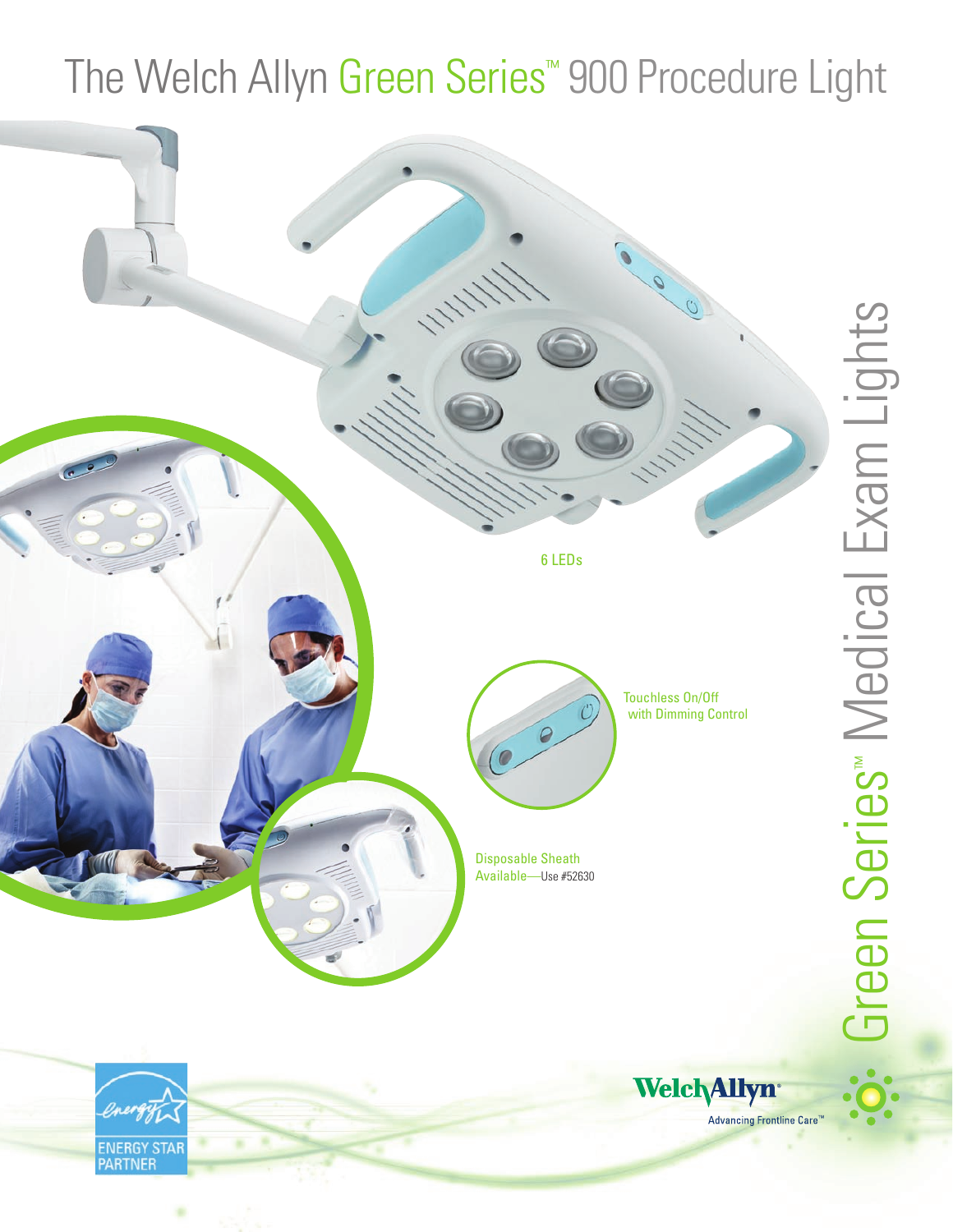# The Welch Allyn Green Series™ 900 Procedure Light